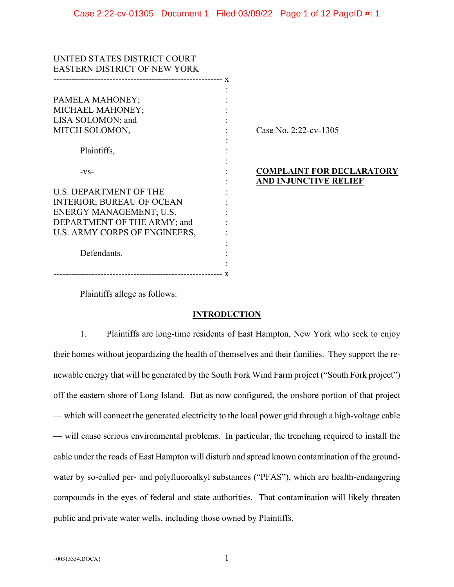| UNITED STATES DISTRICT COURT        |                                  |
|-------------------------------------|----------------------------------|
| <b>EASTERN DISTRICT OF NEW YORK</b> |                                  |
|                                     |                                  |
| PAMELA MAHONEY;                     |                                  |
| MICHAEL MAHONEY;                    |                                  |
| LISA SOLOMON; and                   |                                  |
| MITCH SOLOMON,                      | Case No. 2:22-cv-1305            |
|                                     |                                  |
| Plaintiffs,                         |                                  |
|                                     |                                  |
| $-VS-$                              | <b>COMPLAINT FOR DECLARATORY</b> |
|                                     | AND INJUNCTIVE RELIEF            |
| <b>U.S. DEPARTMENT OF THE</b>       |                                  |
| <b>INTERIOR; BUREAU OF OCEAN</b>    |                                  |
| ENERGY MANAGEMENT; U.S.             |                                  |
| DEPARTMENT OF THE ARMY; and         |                                  |
| U.S. ARMY CORPS OF ENGINEERS,       |                                  |
|                                     |                                  |
| Defendants.                         |                                  |
|                                     |                                  |
|                                     |                                  |

Plaintiffs allege as follows:

# **INTRODUCTION**

1. Plaintiffs are long-time residents of East Hampton, New York who seek to enjoy their homes without jeopardizing the health of themselves and their families. They support the renewable energy that will be generated by the South Fork Wind Farm project ("South Fork project") off the eastern shore of Long Island. But as now configured, the onshore portion of that project — which will connect the generated electricity to the local power grid through a high-voltage cable — will cause serious environmental problems. In particular, the trenching required to install the cable under the roads of East Hampton will disturb and spread known contamination of the groundwater by so-called per- and polyfluoroalkyl substances ("PFAS"), which are health-endangering compounds in the eyes of federal and state authorities. That contamination will likely threaten public and private water wells, including those owned by Plaintiffs.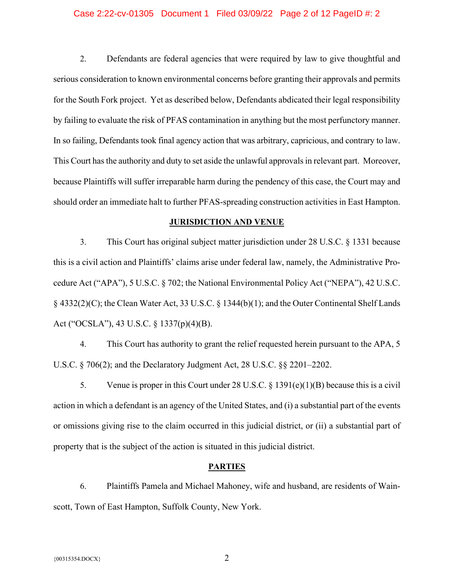### Case 2:22-cv-01305 Document 1 Filed 03/09/22 Page 2 of 12 PageID #: 2

2. Defendants are federal agencies that were required by law to give thoughtful and serious consideration to known environmental concerns before granting their approvals and permits for the South Fork project. Yet as described below, Defendants abdicated their legal responsibility by failing to evaluate the risk of PFAS contamination in anything but the most perfunctory manner. In so failing, Defendants took final agency action that was arbitrary, capricious, and contrary to law. This Court has the authority and duty to set aside the unlawful approvals in relevant part. Moreover, because Plaintiffs will suffer irreparable harm during the pendency of this case, the Court may and should order an immediate halt to further PFAS-spreading construction activities in East Hampton.

# **JURISDICTION AND VENUE**

3. This Court has original subject matter jurisdiction under 28 U.S.C. § 1331 because this is a civil action and Plaintiffs' claims arise under federal law, namely, the Administrative Procedure Act ("APA"), 5 U.S.C. § 702; the National Environmental Policy Act ("NEPA"), 42 U.S.C. § 4332(2)(C); the Clean Water Act, 33 U.S.C. § 1344(b)(1); and the Outer Continental Shelf Lands Act ("OCSLA"), 43 U.S.C. § 1337(p)(4)(B).

4. This Court has authority to grant the relief requested herein pursuant to the APA, 5 U.S.C. § 706(2); and the Declaratory Judgment Act, 28 U.S.C. §§ 2201–2202.

5. Venue is proper in this Court under 28 U.S.C. § 1391(e)(1)(B) because this is a civil action in which a defendant is an agency of the United States, and (i) a substantial part of the events or omissions giving rise to the claim occurred in this judicial district, or (ii) a substantial part of property that is the subject of the action is situated in this judicial district.

# **PARTIES**

6. Plaintiffs Pamela and Michael Mahoney, wife and husband, are residents of Wainscott, Town of East Hampton, Suffolk County, New York.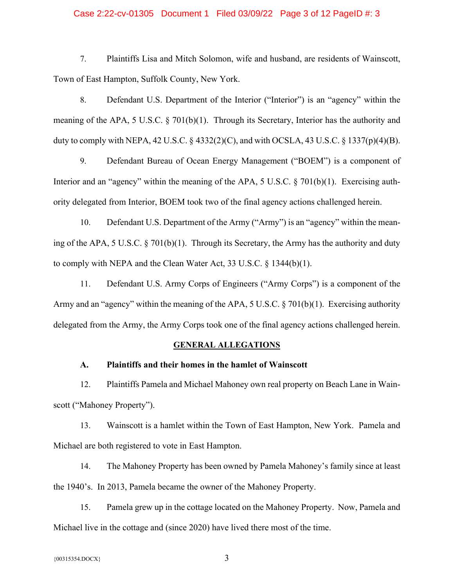# Case 2:22-cv-01305 Document 1 Filed 03/09/22 Page 3 of 12 PageID #: 3

7. Plaintiffs Lisa and Mitch Solomon, wife and husband, are residents of Wainscott, Town of East Hampton, Suffolk County, New York.

8. Defendant U.S. Department of the Interior ("Interior") is an "agency" within the meaning of the APA, 5 U.S.C. § 701(b)(1). Through its Secretary, Interior has the authority and duty to comply with NEPA, 42 U.S.C.  $\S$  4332(2)(C), and with OCSLA, 43 U.S.C.  $\S$  1337(p)(4)(B).

9. Defendant Bureau of Ocean Energy Management ("BOEM") is a component of Interior and an "agency" within the meaning of the APA, 5 U.S.C. § 701(b)(1). Exercising authority delegated from Interior, BOEM took two of the final agency actions challenged herein.

10. Defendant U.S. Department of the Army ("Army") is an "agency" within the meaning of the APA, 5 U.S.C. § 701(b)(1). Through its Secretary, the Army has the authority and duty to comply with NEPA and the Clean Water Act, 33 U.S.C. § 1344(b)(1).

11. Defendant U.S. Army Corps of Engineers ("Army Corps") is a component of the Army and an "agency" within the meaning of the APA, 5 U.S.C. § 701(b)(1). Exercising authority delegated from the Army, the Army Corps took one of the final agency actions challenged herein.

#### **GENERAL ALLEGATIONS**

# **A. Plaintiffs and their homes in the hamlet of Wainscott**

12. Plaintiffs Pamela and Michael Mahoney own real property on Beach Lane in Wainscott ("Mahoney Property").

13. Wainscott is a hamlet within the Town of East Hampton, New York. Pamela and Michael are both registered to vote in East Hampton.

14. The Mahoney Property has been owned by Pamela Mahoney's family since at least the 1940's. In 2013, Pamela became the owner of the Mahoney Property.

15. Pamela grew up in the cottage located on the Mahoney Property. Now, Pamela and Michael live in the cottage and (since 2020) have lived there most of the time.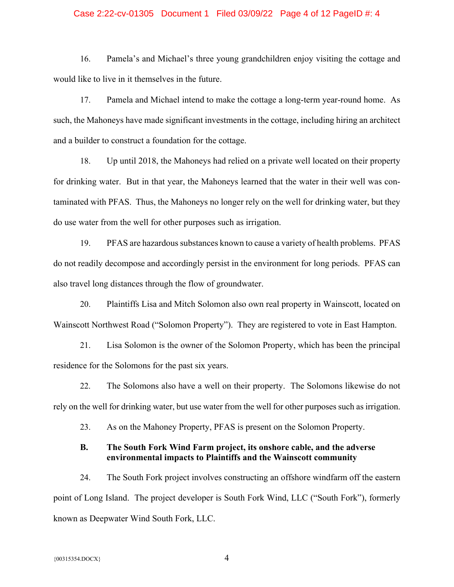# Case 2:22-cv-01305 Document 1 Filed 03/09/22 Page 4 of 12 PageID #: 4

16. Pamela's and Michael's three young grandchildren enjoy visiting the cottage and would like to live in it themselves in the future.

17. Pamela and Michael intend to make the cottage a long-term year-round home. As such, the Mahoneys have made significant investments in the cottage, including hiring an architect and a builder to construct a foundation for the cottage.

18. Up until 2018, the Mahoneys had relied on a private well located on their property for drinking water. But in that year, the Mahoneys learned that the water in their well was contaminated with PFAS. Thus, the Mahoneys no longer rely on the well for drinking water, but they do use water from the well for other purposes such as irrigation.

19. PFAS are hazardous substances known to cause a variety of health problems. PFAS do not readily decompose and accordingly persist in the environment for long periods. PFAS can also travel long distances through the flow of groundwater.

20. Plaintiffs Lisa and Mitch Solomon also own real property in Wainscott, located on Wainscott Northwest Road ("Solomon Property"). They are registered to vote in East Hampton.

21. Lisa Solomon is the owner of the Solomon Property, which has been the principal residence for the Solomons for the past six years.

22. The Solomons also have a well on their property. The Solomons likewise do not rely on the well for drinking water, but use water from the well for other purposes such as irrigation.

23. As on the Mahoney Property, PFAS is present on the Solomon Property.

# **B. The South Fork Wind Farm project, its onshore cable, and the adverse environmental impacts to Plaintiffs and the Wainscott community**

24. The South Fork project involves constructing an offshore windfarm off the eastern point of Long Island. The project developer is South Fork Wind, LLC ("South Fork"), formerly known as Deepwater Wind South Fork, LLC.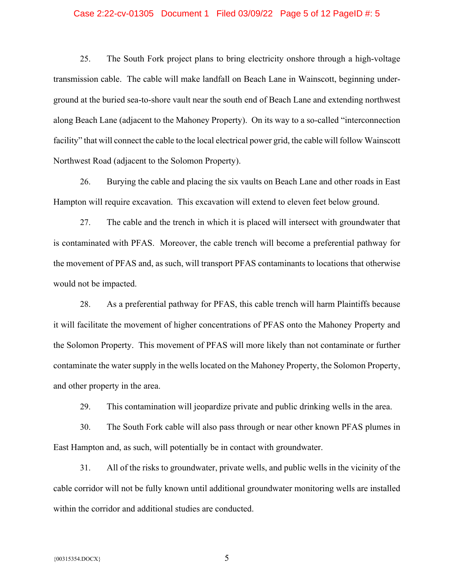### Case 2:22-cv-01305 Document 1 Filed 03/09/22 Page 5 of 12 PageID #: 5

25. The South Fork project plans to bring electricity onshore through a high-voltage transmission cable. The cable will make landfall on Beach Lane in Wainscott, beginning underground at the buried sea-to-shore vault near the south end of Beach Lane and extending northwest along Beach Lane (adjacent to the Mahoney Property). On its way to a so-called "interconnection facility" that will connect the cable to the local electrical power grid, the cable will follow Wainscott Northwest Road (adjacent to the Solomon Property).

26. Burying the cable and placing the six vaults on Beach Lane and other roads in East Hampton will require excavation. This excavation will extend to eleven feet below ground.

27. The cable and the trench in which it is placed will intersect with groundwater that is contaminated with PFAS. Moreover, the cable trench will become a preferential pathway for the movement of PFAS and, as such, will transport PFAS contaminants to locations that otherwise would not be impacted.

28. As a preferential pathway for PFAS, this cable trench will harm Plaintiffs because it will facilitate the movement of higher concentrations of PFAS onto the Mahoney Property and the Solomon Property. This movement of PFAS will more likely than not contaminate or further contaminate the water supply in the wells located on the Mahoney Property, the Solomon Property, and other property in the area.

29. This contamination will jeopardize private and public drinking wells in the area.

30. The South Fork cable will also pass through or near other known PFAS plumes in East Hampton and, as such, will potentially be in contact with groundwater.

31. All of the risks to groundwater, private wells, and public wells in the vicinity of the cable corridor will not be fully known until additional groundwater monitoring wells are installed within the corridor and additional studies are conducted.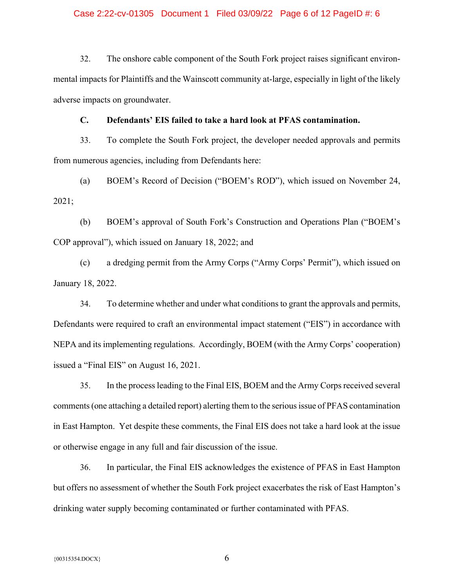## Case 2:22-cv-01305 Document 1 Filed 03/09/22 Page 6 of 12 PageID #: 6

32. The onshore cable component of the South Fork project raises significant environmental impacts for Plaintiffs and the Wainscott community at-large, especially in light of the likely adverse impacts on groundwater.

# **C. Defendants' EIS failed to take a hard look at PFAS contamination.**

33. To complete the South Fork project, the developer needed approvals and permits from numerous agencies, including from Defendants here:

(a) BOEM's Record of Decision ("BOEM's ROD"), which issued on November 24, 2021;

(b) BOEM's approval of South Fork's Construction and Operations Plan ("BOEM's COP approval"), which issued on January 18, 2022; and

(c) a dredging permit from the Army Corps ("Army Corps' Permit"), which issued on January 18, 2022.

34. To determine whether and under what conditions to grant the approvals and permits, Defendants were required to craft an environmental impact statement ("EIS") in accordance with NEPA and its implementing regulations. Accordingly, BOEM (with the Army Corps' cooperation) issued a "Final EIS" on August 16, 2021.

35. In the process leading to the Final EIS, BOEM and the Army Corps received several comments (one attaching a detailed report) alerting them to the serious issue of PFAS contamination in East Hampton. Yet despite these comments, the Final EIS does not take a hard look at the issue or otherwise engage in any full and fair discussion of the issue.

36. In particular, the Final EIS acknowledges the existence of PFAS in East Hampton but offers no assessment of whether the South Fork project exacerbates the risk of East Hampton's drinking water supply becoming contaminated or further contaminated with PFAS.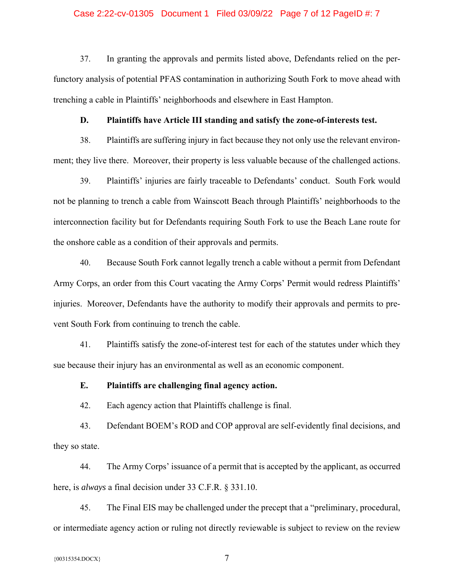### Case 2:22-cv-01305 Document 1 Filed 03/09/22 Page 7 of 12 PageID #: 7

37. In granting the approvals and permits listed above, Defendants relied on the perfunctory analysis of potential PFAS contamination in authorizing South Fork to move ahead with trenching a cable in Plaintiffs' neighborhoods and elsewhere in East Hampton.

# **D. Plaintiffs have Article III standing and satisfy the zone-of-interests test.**

38. Plaintiffs are suffering injury in fact because they not only use the relevant environment; they live there. Moreover, their property is less valuable because of the challenged actions.

39. Plaintiffs' injuries are fairly traceable to Defendants' conduct. South Fork would not be planning to trench a cable from Wainscott Beach through Plaintiffs' neighborhoods to the interconnection facility but for Defendants requiring South Fork to use the Beach Lane route for the onshore cable as a condition of their approvals and permits.

40. Because South Fork cannot legally trench a cable without a permit from Defendant Army Corps, an order from this Court vacating the Army Corps' Permit would redress Plaintiffs' injuries. Moreover, Defendants have the authority to modify their approvals and permits to prevent South Fork from continuing to trench the cable.

41. Plaintiffs satisfy the zone-of-interest test for each of the statutes under which they sue because their injury has an environmental as well as an economic component.

### **E. Plaintiffs are challenging final agency action.**

42. Each agency action that Plaintiffs challenge is final.

43. Defendant BOEM's ROD and COP approval are self-evidently final decisions, and they so state.

44. The Army Corps' issuance of a permit that is accepted by the applicant, as occurred here, is *always* a final decision under 33 C.F.R. § 331.10.

45. The Final EIS may be challenged under the precept that a "preliminary, procedural, or intermediate agency action or ruling not directly reviewable is subject to review on the review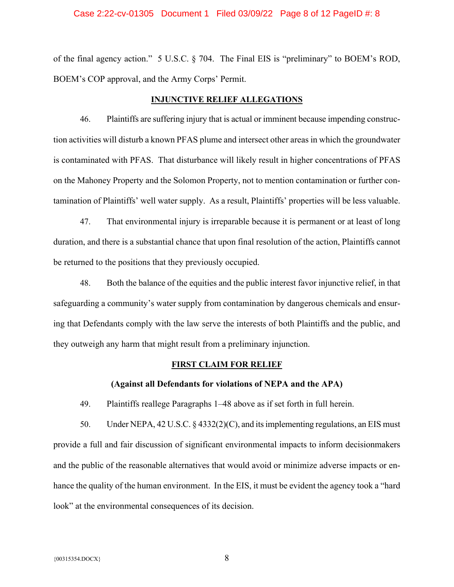#### Case 2:22-cv-01305 Document 1 Filed 03/09/22 Page 8 of 12 PageID #: 8

of the final agency action." 5 U.S.C. § 704. The Final EIS is "preliminary" to BOEM's ROD, BOEM's COP approval, and the Army Corps' Permit.

## **INJUNCTIVE RELIEF ALLEGATIONS**

46. Plaintiffs are suffering injury that is actual or imminent because impending construction activities will disturb a known PFAS plume and intersect other areas in which the groundwater is contaminated with PFAS. That disturbance will likely result in higher concentrations of PFAS on the Mahoney Property and the Solomon Property, not to mention contamination or further contamination of Plaintiffs' well water supply. As a result, Plaintiffs' properties will be less valuable.

47. That environmental injury is irreparable because it is permanent or at least of long duration, and there is a substantial chance that upon final resolution of the action, Plaintiffs cannot be returned to the positions that they previously occupied.

48. Both the balance of the equities and the public interest favor injunctive relief, in that safeguarding a community's water supply from contamination by dangerous chemicals and ensuring that Defendants comply with the law serve the interests of both Plaintiffs and the public, and they outweigh any harm that might result from a preliminary injunction.

#### **FIRST CLAIM FOR RELIEF**

#### **(Against all Defendants for violations of NEPA and the APA)**

49. Plaintiffs reallege Paragraphs 1–48 above as if set forth in full herein.

50. Under NEPA, 42 U.S.C. § 4332(2)(C), and its implementing regulations, an EIS must provide a full and fair discussion of significant environmental impacts to inform decisionmakers and the public of the reasonable alternatives that would avoid or minimize adverse impacts or enhance the quality of the human environment. In the EIS, it must be evident the agency took a "hard look" at the environmental consequences of its decision.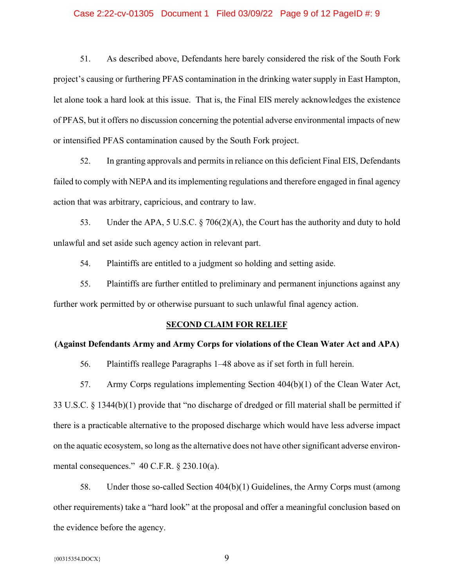### Case 2:22-cv-01305 Document 1 Filed 03/09/22 Page 9 of 12 PageID #: 9

51. As described above, Defendants here barely considered the risk of the South Fork project's causing or furthering PFAS contamination in the drinking water supply in East Hampton, let alone took a hard look at this issue. That is, the Final EIS merely acknowledges the existence of PFAS, but it offers no discussion concerning the potential adverse environmental impacts of new or intensified PFAS contamination caused by the South Fork project.

52. In granting approvals and permits in reliance on this deficient Final EIS, Defendants failed to comply with NEPA and its implementing regulations and therefore engaged in final agency action that was arbitrary, capricious, and contrary to law.

53. Under the APA, 5 U.S.C. § 706(2)(A), the Court has the authority and duty to hold unlawful and set aside such agency action in relevant part.

54. Plaintiffs are entitled to a judgment so holding and setting aside.

55. Plaintiffs are further entitled to preliminary and permanent injunctions against any further work permitted by or otherwise pursuant to such unlawful final agency action.

#### **SECOND CLAIM FOR RELIEF**

# **(Against Defendants Army and Army Corps for violations of the Clean Water Act and APA)**

56. Plaintiffs reallege Paragraphs 1–48 above as if set forth in full herein.

57. Army Corps regulations implementing Section 404(b)(1) of the Clean Water Act, 33 U.S.C. § 1344(b)(1) provide that "no discharge of dredged or fill material shall be permitted if there is a practicable alternative to the proposed discharge which would have less adverse impact on the aquatic ecosystem, so long as the alternative does not have other significant adverse environmental consequences." 40 C.F.R. § 230.10(a).

58. Under those so-called Section 404(b)(1) Guidelines, the Army Corps must (among other requirements) take a "hard look" at the proposal and offer a meaningful conclusion based on the evidence before the agency.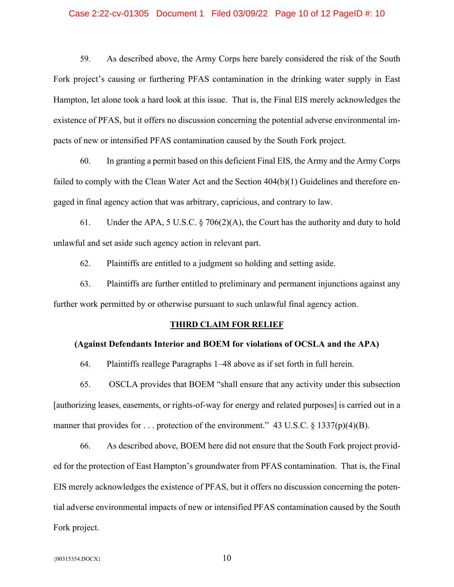### Case 2:22-cv-01305 Document 1 Filed 03/09/22 Page 10 of 12 PageID #: 10

59. As described above, the Army Corps here barely considered the risk of the South Fork project's causing or furthering PFAS contamination in the drinking water supply in East Hampton, let alone took a hard look at this issue. That is, the Final EIS merely acknowledges the existence of PFAS, but it offers no discussion concerning the potential adverse environmental impacts of new or intensified PFAS contamination caused by the South Fork project.

60. In granting a permit based on this deficient Final EIS, the Army and the Army Corps failed to comply with the Clean Water Act and the Section 404(b)(1) Guidelines and therefore engaged in final agency action that was arbitrary, capricious, and contrary to law.

61. Under the APA, 5 U.S.C. § 706(2)(A), the Court has the authority and duty to hold unlawful and set aside such agency action in relevant part.

62. Plaintiffs are entitled to a judgment so holding and setting aside.

63. Plaintiffs are further entitled to preliminary and permanent injunctions against any further work permitted by or otherwise pursuant to such unlawful final agency action.

#### **THIRD CLAIM FOR RELIEF**

# **(Against Defendants Interior and BOEM for violations of OCSLA and the APA)**

64. Plaintiffs reallege Paragraphs 1–48 above as if set forth in full herein.

65. OSCLA provides that BOEM "shall ensure that any activity under this subsection [authorizing leases, easements, or rights-of-way for energy and related purposes] is carried out in a manner that provides for ... protection of the environment." 43 U.S.C.  $\S$  1337(p)(4)(B).

66. As described above, BOEM here did not ensure that the South Fork project provided for the protection of East Hampton's groundwater from PFAS contamination. That is, the Final EIS merely acknowledges the existence of PFAS, but it offers no discussion concerning the potential adverse environmental impacts of new or intensified PFAS contamination caused by the South Fork project.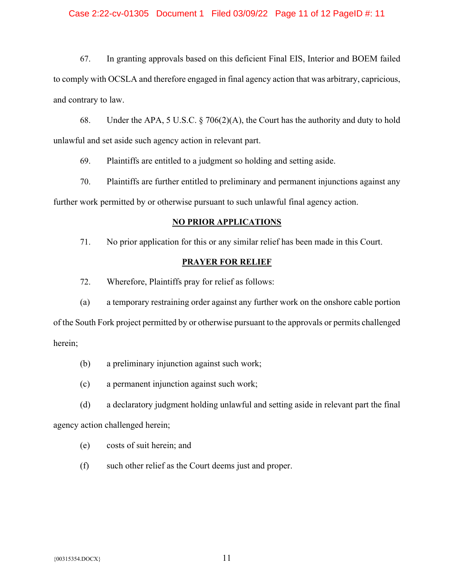# Case 2:22-cv-01305 Document 1 Filed 03/09/22 Page 11 of 12 PageID #: 11

67. In granting approvals based on this deficient Final EIS, Interior and BOEM failed to comply with OCSLA and therefore engaged in final agency action that was arbitrary, capricious, and contrary to law.

68. Under the APA, 5 U.S.C. § 706(2)(A), the Court has the authority and duty to hold unlawful and set aside such agency action in relevant part.

69. Plaintiffs are entitled to a judgment so holding and setting aside.

70. Plaintiffs are further entitled to preliminary and permanent injunctions against any further work permitted by or otherwise pursuant to such unlawful final agency action.

# **NO PRIOR APPLICATIONS**

71. No prior application for this or any similar relief has been made in this Court.

#### **PRAYER FOR RELIEF**

72. Wherefore, Plaintiffs pray for relief as follows:

(a) a temporary restraining order against any further work on the onshore cable portion of the South Fork project permitted by or otherwise pursuant to the approvals or permits challenged herein;

- (b) a preliminary injunction against such work;
- (c) a permanent injunction against such work;

(d) a declaratory judgment holding unlawful and setting aside in relevant part the final agency action challenged herein;

- (e) costs of suit herein; and
- (f) such other relief as the Court deems just and proper.